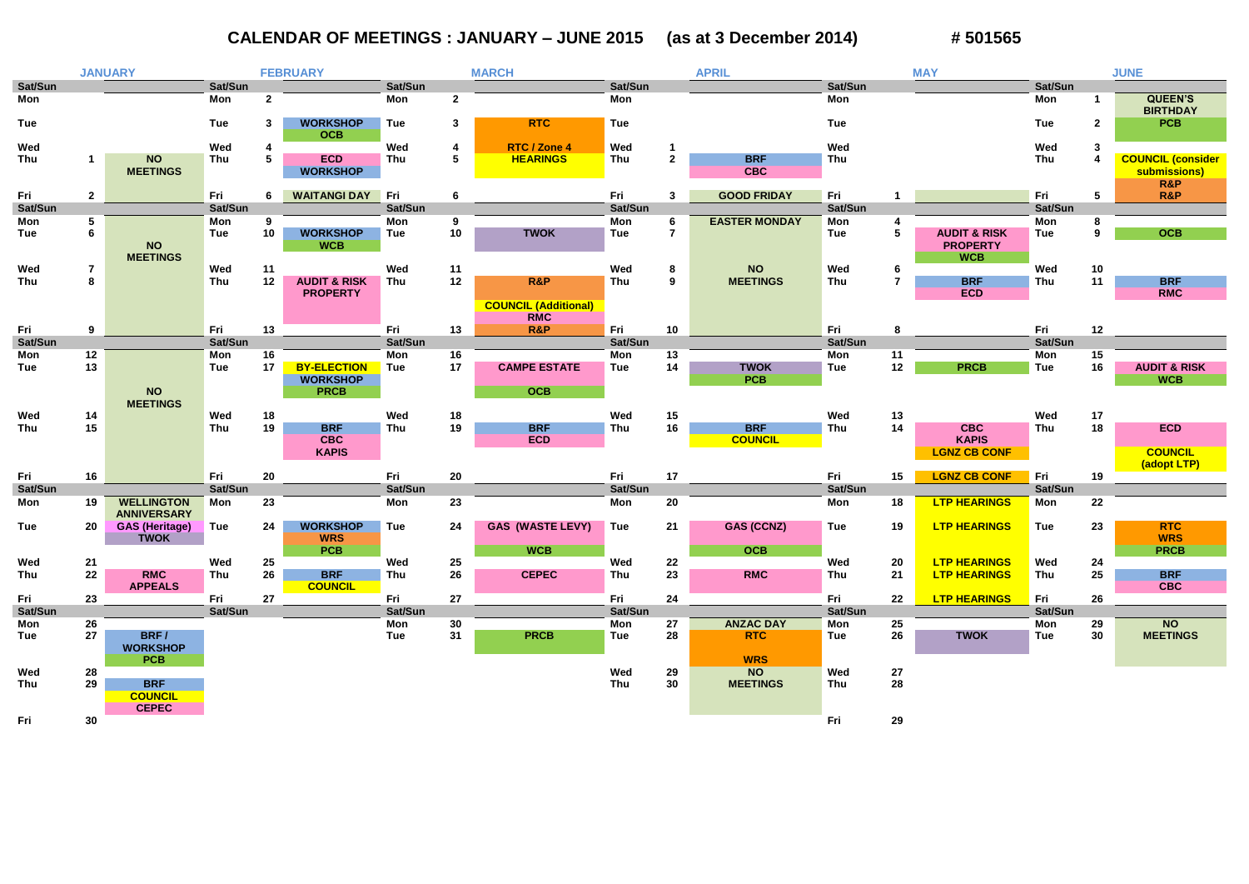## **CALENDAR OF MEETINGS : JANUARY – JUNE 2015 (as at 3 December 2014) # 501565**

|                   | <b>JANUARY</b>               |                                         | <b>FEBRUARY</b>   |              |                               | <b>MARCH</b> |                |                                           | <b>APRIL</b> |                     |                              | <b>MAY</b>        |                 |                         | <b>JUNE</b>       |              |                                   |
|-------------------|------------------------------|-----------------------------------------|-------------------|--------------|-------------------------------|--------------|----------------|-------------------------------------------|--------------|---------------------|------------------------------|-------------------|-----------------|-------------------------|-------------------|--------------|-----------------------------------|
| Sat/Sun           |                              |                                         | Sat/Sun           |              |                               | Sat/Sun      |                |                                           | Sat/Sun      |                     |                              | Sat/Sun           |                 |                         | Sat/Sun           |              |                                   |
| Mon               |                              |                                         | Mon               | $\mathbf{2}$ |                               | Mon          | $\overline{2}$ |                                           | Mon          |                     |                              | Mon               |                 |                         | Mon               |              | <b>QUEEN'S</b><br><b>BIRTHDAY</b> |
| <b>Tue</b>        |                              |                                         | <b>Tue</b>        | 3            | <b>WORKSHOP</b><br><b>OCB</b> | <b>Tue</b>   | 3              | <b>RTC</b>                                | <b>Tue</b>   |                     |                              | <b>Tue</b>        |                 |                         | <b>Tue</b>        | $\mathbf{2}$ | <b>PCB</b>                        |
| Wed               |                              |                                         | Wed               |              |                               | Wed          | 4              | RTC / Zone 4                              | Wed          | $\mathbf 1$         |                              | Wed               |                 |                         | Wed               | -3           |                                   |
| Thu               |                              | <b>NO</b>                               | <b>Thu</b>        | 5            | <b>ECD</b>                    | Thu          | 5              | <b>HEARINGS</b>                           | Thu          | $\mathbf{2}$        | <b>BRF</b>                   | Thu               |                 |                         | Thu               |              | <b>COUNCIL (consider</b>          |
|                   |                              | <b>MEETINGS</b>                         |                   |              | <b>WORKSHOP</b>               |              |                |                                           |              |                     | <b>CBC</b>                   |                   |                 |                         |                   |              | submissions)                      |
|                   |                              |                                         |                   |              |                               |              |                |                                           |              |                     |                              |                   |                 |                         |                   |              | R&P                               |
| Fri               | $\mathbf{2}$                 |                                         | Fri               | 6            | <b>WAITANGI DAY</b>           | Fri          | 6              |                                           | Fri          | $\mathbf{3}$        | <b>GOOD FRIDAY</b>           | Fri               |                 |                         | Fri               | 5            | <b>R&amp;P</b>                    |
| Sat/Sun           |                              |                                         | Sat/Sun           |              |                               | Sat/Sun      |                |                                           | Sat/Sun      |                     |                              | Sat/Sun           |                 |                         | Sat/Sun           |              |                                   |
| Mon<br><b>Tue</b> | $\overline{\mathbf{5}}$<br>6 |                                         | Mon<br><b>Tue</b> | 9<br>10      | <b>WORKSHOP</b>               | Mon<br>Tue   | 9<br>10        | <b>TWOK</b>                               | Mon<br>Tue   | 6<br>$\overline{7}$ | <b>EASTER MONDAY</b>         | Mon<br>Tue        | $5\phantom{.0}$ | <b>AUDIT &amp; RISK</b> | Mon<br><b>Tue</b> | 8<br>9       | <b>OCB</b>                        |
|                   |                              | <b>NO</b>                               |                   |              | <b>WCB</b>                    |              |                |                                           |              |                     |                              |                   |                 | <b>PROPERTY</b>         |                   |              |                                   |
|                   |                              | <b>MEETINGS</b>                         |                   |              |                               |              |                |                                           |              |                     |                              |                   |                 | <b>WCB</b>              |                   |              |                                   |
| Wed<br>Thu        | $\overline{7}$<br>8          |                                         | Wed<br>Thu        | 11<br>12     | <b>AUDIT &amp; RISK</b>       | Wed<br>Thu   | 11<br>12       | R&P                                       | Wed<br>Thu   | 8<br>9              | <b>NO</b><br><b>MEETINGS</b> | Wed<br><b>Thu</b> | 6               | <b>BRF</b>              | Wed<br><b>Thu</b> | 10<br>11     | <b>BRF</b>                        |
|                   |                              |                                         |                   |              | <b>PROPERTY</b>               |              |                |                                           |              |                     |                              |                   |                 | <b>ECD</b>              |                   |              | <b>RMC</b>                        |
|                   |                              |                                         |                   |              |                               |              |                | <b>COUNCIL (Additional)</b><br><b>RMC</b> |              |                     |                              |                   |                 |                         |                   |              |                                   |
| Fri               | 9                            |                                         | Fri               | 13           |                               | Fri          | 13             | R&P                                       | Fri          | 10                  |                              | Fri               | 8               |                         | Fri               | 12           |                                   |
| Sat/Sun           |                              |                                         | Sat/Sun           |              |                               | Sat/Sun      |                |                                           | Sat/Sun      |                     |                              | Sat/Sun           |                 |                         | Sat/Sun           |              |                                   |
| Mon               | $12$                         |                                         | Mon               | 16           |                               | Mon          | 16             |                                           | Mon          | 13                  |                              | Mon               | 11              |                         | Mon               | 15           |                                   |
| <b>Tue</b>        | 13                           |                                         | <b>Tue</b>        | 17           | <b>BY-ELECTION</b>            | Tue          | 17             | <b>CAMPE ESTATE</b>                       | Tue          | 14                  | <b>TWOK</b>                  | <b>Tue</b>        | 12              | <b>PRCB</b>             | <b>Tue</b>        | 16           | <b>AUDIT &amp; RISK</b>           |
|                   |                              |                                         |                   |              | <b>WORKSHOP</b>               |              |                |                                           |              |                     | <b>PCB</b>                   |                   |                 |                         |                   |              | <b>WCB</b>                        |
|                   |                              | <b>NO</b>                               |                   |              | <b>PRCB</b>                   |              |                | <b>OCB</b>                                |              |                     |                              |                   |                 |                         |                   |              |                                   |
|                   |                              | <b>MEETINGS</b>                         | Wed               |              |                               | Wed          |                |                                           | Wed          |                     |                              | Wed               |                 |                         | Wed               |              |                                   |
| Wed<br><b>Thu</b> | 14<br>15                     |                                         | Thu               | 18<br>19     | <b>BRF</b>                    | Thu          | 18<br>19       | <b>BRF</b>                                | Thu          | 15<br>16            | <b>BRF</b>                   | Thu               | 13<br>14        | <b>CBC</b>              | Thu               | 17<br>18     | <b>ECD</b>                        |
|                   |                              |                                         |                   |              | <b>CBC</b>                    |              |                | <b>ECD</b>                                |              |                     | <b>COUNCIL</b>               |                   |                 | <b>KAPIS</b>            |                   |              |                                   |
|                   |                              |                                         |                   |              | <b>KAPIS</b>                  |              |                |                                           |              |                     |                              |                   |                 | <b>LGNZ CB CONF</b>     |                   |              | <b>COUNCIL</b><br>(adopt LTP)     |
| Fri               | 16                           |                                         | Fri               | 20           |                               | Fri          | 20             |                                           | Fri          | 17                  |                              | Fri               | 15              | <b>LGNZ CB CONF</b>     | Fri               | 19           |                                   |
| Sat/Sun           |                              |                                         | Sat/Sun           |              |                               | Sat/Sun      |                |                                           | Sat/Sun      |                     |                              | Sat/Sun           |                 |                         | Sat/Sun           |              |                                   |
| Mon               | 19                           | <b>WELLINGTON</b><br><b>ANNIVERSARY</b> | Mon               | 23           |                               | Mon          | 23             |                                           | Mon          | 20                  |                              | Mon               | 18              | <b>LTP HEARINGS</b>     | Mon               | 22           |                                   |
| <b>Tue</b>        | 20                           | <b>GAS (Heritage)</b>                   | <b>Tue</b>        | 24           | <b>WORKSHOP</b>               | <b>Tue</b>   | 24             | <b>GAS (WASTE LEVY)</b>                   | Tue          | 21                  | <b>GAS (CCNZ)</b>            | <b>Tue</b>        | 19              | <b>LTP HEARINGS</b>     | <b>Tue</b>        | 23           | <b>RTC</b>                        |
|                   |                              | <b>TWOK</b>                             |                   |              | <b>WRS</b>                    |              |                |                                           |              |                     |                              |                   |                 |                         |                   |              | <b>WRS</b>                        |
|                   |                              |                                         |                   |              | <b>PCB</b>                    |              |                | <b>WCB</b>                                |              |                     | <b>OCB</b>                   |                   |                 |                         |                   |              | <b>PRCB</b>                       |
| Wed               | 21                           |                                         | Wed               | 25           |                               | Wed          | 25             |                                           | Wed          | 22                  |                              | Wed               | 20              | <b>LTP HEARINGS</b>     | Wed               | 24           |                                   |
| Thu               | 22                           | <b>RMC</b><br><b>APPEALS</b>            | Thu               | 26           | <b>BRF</b><br><b>COUNCIL</b>  | Thu          | 26             | <b>CEPEC</b>                              | Thu          | 23                  | <b>RMC</b>                   | Thu               | 21              | <b>LTP HEARINGS</b>     | Thu               | 25           | <b>BRF</b><br><b>CBC</b>          |
| Fri               | 23                           |                                         | Fri               | 27           |                               | Fri          | 27             |                                           | Fri          | 24                  |                              | Fri               | 22              | <b>LTP HEARINGS</b>     | Fri               | 26           |                                   |
| Sat/Sun           |                              |                                         | Sat/Sun           |              |                               | Sat/Sun      |                |                                           | Sat/Sun      |                     |                              | Sat/Sun           |                 |                         | Sat/Sun           |              |                                   |
| Mon               | 26                           |                                         |                   |              |                               | Mon          | 30             |                                           | Mon          | 27                  | <b>ANZAC DAY</b>             | Mon               | 25              |                         | Mon               | 29           | <b>NO</b>                         |
| Tue               | 27                           | BRF/<br><b>WORKSHOP</b>                 |                   |              |                               | Tue          | 31             | <b>PRCB</b>                               | Tue          | 28                  | <b>RTC</b>                   | Tue               | 26              | <b>TWOK</b>             | Tue               | 30           | <b>MEETINGS</b>                   |
|                   |                              | <b>PCB</b>                              |                   |              |                               |              |                |                                           |              |                     | <b>WRS</b>                   |                   |                 |                         |                   |              |                                   |
| Wed               | 28                           |                                         |                   |              |                               |              |                |                                           | Wed          | 29                  | <b>NO</b>                    | Wed               | 27              |                         |                   |              |                                   |
| Thu               | 29                           | <b>BRF</b>                              |                   |              |                               |              |                |                                           | Thu          | 30                  | <b>MEETINGS</b>              | Thu               | 28              |                         |                   |              |                                   |
|                   |                              | <b>COUNCIL</b>                          |                   |              |                               |              |                |                                           |              |                     |                              |                   |                 |                         |                   |              |                                   |
|                   |                              | <b>CEPEC</b>                            |                   |              |                               |              |                |                                           |              |                     |                              |                   |                 |                         |                   |              |                                   |
| Fri               | 30                           |                                         |                   |              |                               |              |                |                                           |              |                     |                              | Fri               | 29              |                         |                   |              |                                   |